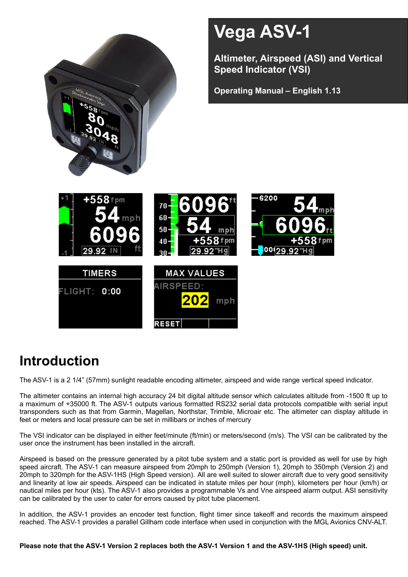

# **Introduction**

The ASV-1 is a 2 1/4" (57mm) sunlight readable encoding altimeter, airspeed and wide range vertical speed indicator.

The altimeter contains an internal high accuracy 24 bit digital altitude sensor which calculates altitude from -1500 ft up to a maximum of +35000 ft. The ASV-1 outputs various formatted RS232 serial data protocols compatible with serial input transponders such as that from Garmin, Magellan, Northstar, Trimble, Microair etc. The altimeter can display altitude in feet or meters and local pressure can be set in millibars or inches of mercury

The VSI indicator can be displayed in either feet/minute (ft/min) or meters/second (m/s). The VSI can be calibrated by the user once the instrument has been installed in the aircraft.

Airspeed is based on the pressure generated by a pitot tube system and a static port is provided as well for use by high speed aircraft. The ASV-1 can measure airspeed from 20mph to 250mph (Version 1), 20mph to 350mph (Version 2) and 20mph to 320mph for the ASV-1HS (High Speed version). All are well suited to slower aircraft due to very good sensitivity and linearity at low air speeds. Airspeed can be indicated in statute miles per hour (mph), kilometers per hour (km/h) or nautical miles per hour (kts). The ASV-1 also provides a programmable Vs and Vne airspeed alarm output. ASI sensitivity can be calibrated by the user to cater for errors caused by pitot tube placement.

In addition, the ASV-1 provides an encoder test function, flight timer since takeoff and records the maximum airspeed reached. The ASV-1 provides a parallel Gillham code interface when used in conjunction with the MGL Avionics CNV-ALT.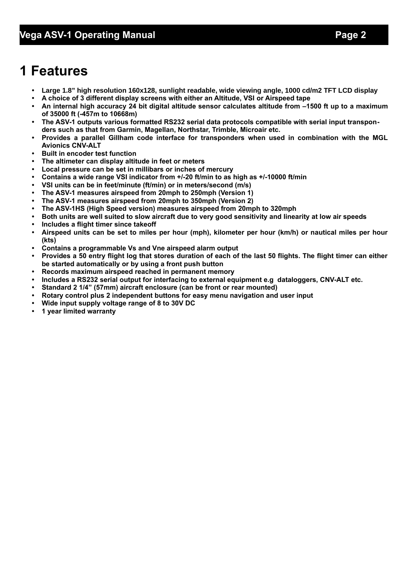# **1 Features**

- **• Large 1.8" high resolution 160x128, sunlight readable, wide viewing angle, 1000 cd/m2 TFT LCD display**
- **• A choice of 3 different display screens with either an Altitude, VSI or Airspeed tape**
- **• An internal high accuracy 24 bit digital altitude sensor calculates altitude from –1500 ft up to a maximum of 35000 ft (-457m to 10668m)**
- **• The ASV-1 outputs various formatted RS232 serial data protocols compatible with serial input transponders such as that from Garmin, Magellan, Northstar, Trimble, Microair etc.**
- **• Provides a parallel Gillham code interface for transponders when used in combination with the MGL Avionics CNV-ALT**
- **• Built in encoder test function**
- **• The altimeter can display altitude in feet or meters**
- **• Local pressure can be set in millibars or inches of mercury**
- **• Contains a wide range VSI indicator from +/-20 ft/min to as high as +/-10000 ft/min**
- **• VSI units can be in feet/minute (ft/min) or in meters/second (m/s)**
- **• The ASV-1 measures airspeed from 20mph to 250mph (Version 1)**
- **• The ASV-1 measures airspeed from 20mph to 350mph (Version 2)**
- **• The ASV-1HS (High Speed version) measures airspeed from 20mph to 320mph**
- **• Both units are well suited to slow aircraft due to very good sensitivity and linearity at low air speeds**
- **• Includes a flight timer since takeoff**
- **• Airspeed units can be set to miles per hour (mph), kilometer per hour (km/h) or nautical miles per hour (kts)**
- **• Contains a programmable Vs and Vne airspeed alarm output**
- **• Provides a 50 entry flight log that stores duration of each of the last 50 flights. The flight timer can either be started automatically or by using a front push button**
- **• Records maximum airspeed reached in permanent memory**
- **• Includes a RS232 serial output for interfacing to external equipment e.g dataloggers, CNV-ALT etc.**
- **• Standard 2 1/4" (57mm) aircraft enclosure (can be front or rear mounted)**
- **• Rotary control plus 2 independent buttons for easy menu navigation and user input**
- **• Wide input supply voltage range of 8 to 30V DC**
- **• 1 year limited warranty**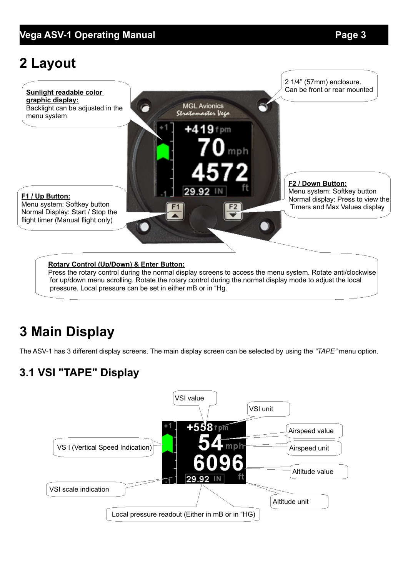# **2 Layout**



# **3 Main Display**

The ASV-1 has 3 different display screens. The main display screen can be selected by using the *"TAPE"* menu option.

# **3.1 VSI "TAPE" Display**

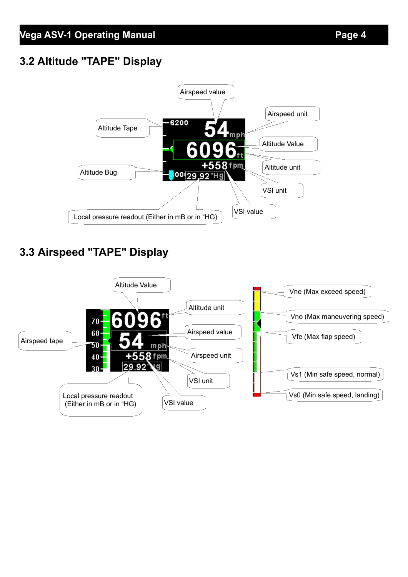# **3.2 Altitude "TAPE" Display**



# **3.3 Airspeed "TAPE" Display**

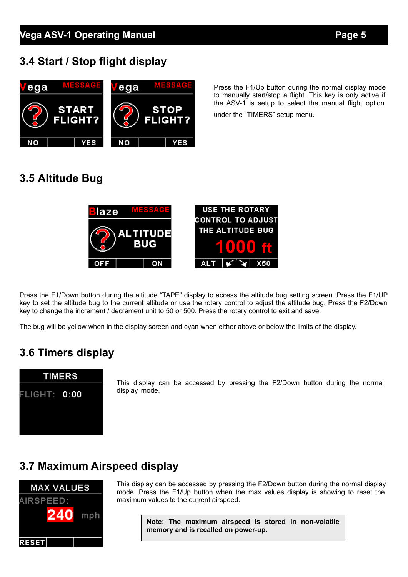# **3.4 Start / Stop flight display**



Press the F1/Up button during the normal display mode to manually start/stop a flight. This key is only active if the ASV-1 is setup to select the manual flight option

under the "TIMERS" setup menu.

# **3.5 Altitude Bug**



Press the F1/Down button during the altitude "TAPE" display to access the altitude bug setting screen. Press the F1/UP key to set the altitude bug to the current altitude or use the rotary control to adjust the altitude bug. Press the F2/Down key to change the increment / decrement unit to 50 or 500. Press the rotary control to exit and save.

The bug will be yellow when in the display screen and cyan when either above or below the limits of the display.

# **3.6 Timers display**



This display can be accessed by pressing the F2/Down button during the normal display mode.

# **3.7 Maximum Airspeed display**



This display can be accessed by pressing the F2/Down button during the normal display mode. Press the F1/Up button when the max values display is showing to reset the maximum values to the current airspeed.

> **Note: The maximum airspeed is stored in non-volatile memory and is recalled on power-up.**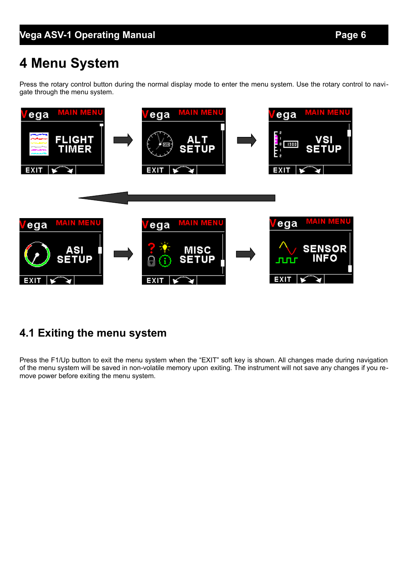# **4 Menu System**

Press the rotary control button during the normal display mode to enter the menu system. Use the rotary control to navigate through the menu system.



# **4.1 Exiting the menu system**

Press the F1/Up button to exit the menu system when the "EXIT" soft key is shown. All changes made during navigation of the menu system will be saved in non-volatile memory upon exiting. The instrument will not save any changes if you remove power before exiting the menu system.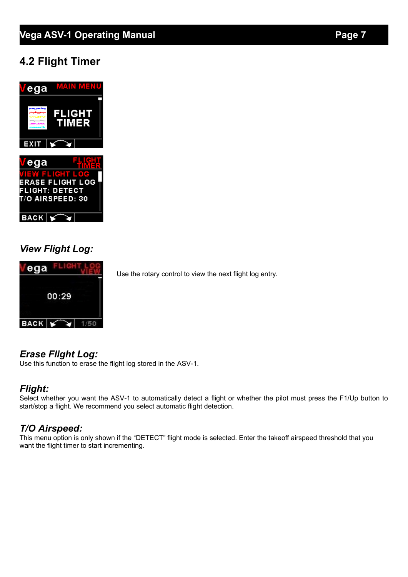# **4.2 Flight Timer**



## *View Flight Log:*



Use the rotary control to view the next flight log entry.

# *Erase Flight Log:*

Use this function to erase the flight log stored in the ASV-1.

## *Flight:*

Select whether you want the ASV-1 to automatically detect a flight or whether the pilot must press the F1/Up button to start/stop a flight. We recommend you select automatic flight detection.

# *T/O Airspeed:*

This menu option is only shown if the "DETECT" flight mode is selected. Enter the takeoff airspeed threshold that you want the flight timer to start incrementing.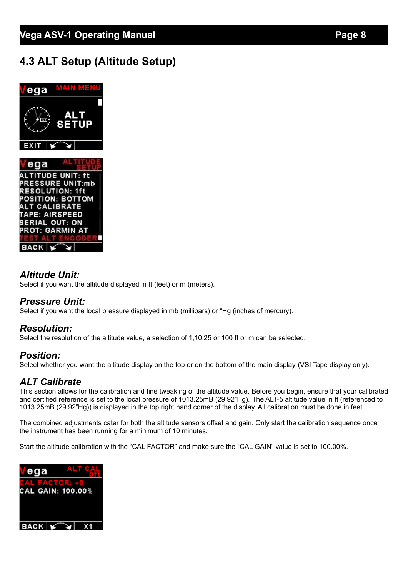# **4.3 ALT Setup (Altitude Setup)**



## *Altitude Unit:*

Select if you want the altitude displayed in ft (feet) or m (meters).

#### *Pressure Unit:*

Select if you want the local pressure displayed in mb (millibars) or "Hg (inches of mercury).

#### *Resolution:*

Select the resolution of the altitude value, a selection of 1,10,25 or 100 ft or m can be selected.

## *Position:*

Select whether you want the altitude display on the top or on the bottom of the main display (VSI Tape display only).

## *ALT Calibrate*

This section allows for the calibration and fine tweaking of the altitude value. Before you begin, ensure that your calibrated and certified reference is set to the local pressure of 1013.25mB (29.92"Hg). The ALT-5 altitude value in ft (referenced to 1013.25mB (29.92"Hg)) is displayed in the top right hand corner of the display. All calibration must be done in feet.

The combined adjustments cater for both the altitude sensors offset and gain. Only start the calibration sequence once the instrument has been running for a minimum of 10 minutes.

Start the altitude calibration with the "CAL FACTOR" and make sure the "CAL GAIN" value is set to 100.00%.

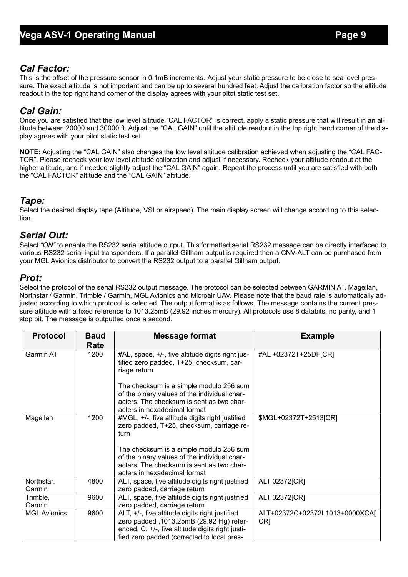## *Cal Factor:*

This is the offset of the pressure sensor in 0.1mB increments. Adjust your static pressure to be close to sea level pressure. The exact altitude is not important and can be up to several hundred feet. Adjust the calibration factor so the altitude readout in the top right hand corner of the display agrees with your pitot static test set.

## *Cal Gain:*

Once you are satisfied that the low level altitude "CAL FACTOR" is correct, apply a static pressure that will result in an altitude between 20000 and 30000 ft. Adjust the "CAL GAIN" until the altitude readout in the top right hand corner of the display agrees with your pitot static test set

**NOTE:** Adjusting the "CAL GAIN" also changes the low level altitude calibration achieved when adjusting the "CAL FAC-TOR". Please recheck your low level altitude calibration and adjust if necessary. Recheck your altitude readout at the higher altitude, and if needed slightly adjust the "CAL GAIN" again. Repeat the process until you are satisfied with both the "CAL FACTOR" altitude and the "CAL GAIN" altitude.

## *Tape:*

Select the desired display tape (Altitude, VSI or airspeed). The main display screen will change according to this selection.

## *Serial Out:*

Select *"ON"* to enable the RS232 serial altitude output. This formatted serial RS232 message can be directly interfaced to various RS232 serial input transponders. If a parallel Gillham output is required then a CNV-ALT can be purchased from your MGL Avionics distributor to convert the RS232 output to a parallel Gillham output.

#### *Prot:*

Select the protocol of the serial RS232 output message. The protocol can be selected between GARMIN AT, Magellan, Northstar / Garmin, Trimble / Garmin, MGL Avionics and Microair UAV. Please note that the baud rate is automatically adjusted according to which protocol is selected. The output format is as follows. The message contains the current pressure altitude with a fixed reference to 1013.25mB (29.92 inches mercury). All protocols use 8 databits, no parity, and 1 stop bit. The message is outputted once a second.

| <b>Protocol</b>      | <b>Baud</b><br>Rate | <b>Message format</b>                                                                                                                                                                        | <b>Example</b>                                    |
|----------------------|---------------------|----------------------------------------------------------------------------------------------------------------------------------------------------------------------------------------------|---------------------------------------------------|
| <b>Garmin AT</b>     | 1200                | #AL, space, +/-, five altitude digits right jus-<br>tified zero padded, T+25, checksum, car-<br>riage return                                                                                 | #AL +02372T+25DF[CR]                              |
|                      |                     | The checksum is a simple modulo 256 sum<br>of the binary values of the individual char-<br>acters. The checksum is sent as two char-<br>acters in hexadecimal format                         |                                                   |
| Magellan             | 1200                | #MGL, +/-, five altitude digits right justified<br>zero padded, T+25, checksum, carriage re-<br>turn                                                                                         | \$MGL+02372T+2513[CR]                             |
|                      |                     | The checksum is a simple modulo 256 sum<br>of the binary values of the individual char-<br>acters. The checksum is sent as two char-<br>acters in hexadecimal format                         |                                                   |
| Northstar,<br>Garmin | 4800                | ALT, space, five altitude digits right justified<br>zero padded, carriage return                                                                                                             | ALT 02372[CR]                                     |
| Trimble,<br>Garmin   | 9600                | ALT, space, five altitude digits right justified<br>zero padded, carriage return                                                                                                             | ALT 02372[CR]                                     |
| <b>MGL Avionics</b>  | 9600                | ALT, +/-, five altitude digits right justified<br>zero padded ,1013.25mB (29.92"Hg) refer-<br>enced, C, +/-, five altitude digits right justi-<br>fied zero padded (corrected to local pres- | ALT+02372C+02372L1013+0000XCAJ<br>CR <sub>1</sub> |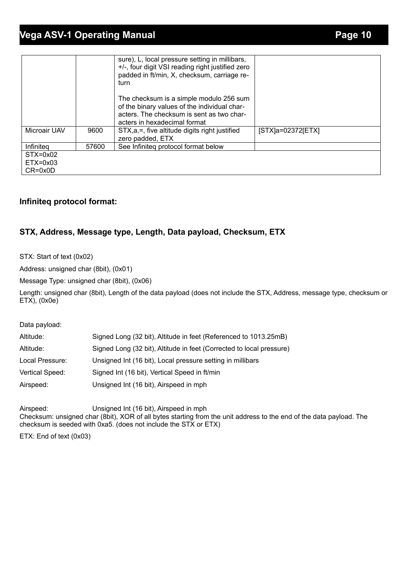# **Vega ASV-1 Operating Manual** *Page 10*

|              |       | sure), L, local pressure setting in millibars,<br>+/-, four digit VSI reading right justified zero<br>padded in ft/min, X, checksum, carriage re-<br>turn            |                     |
|--------------|-------|----------------------------------------------------------------------------------------------------------------------------------------------------------------------|---------------------|
|              |       | The checksum is a simple modulo 256 sum<br>of the binary values of the individual char-<br>acters. The checksum is sent as two char-<br>acters in hexadecimal format |                     |
| Microair UAV | 9600  | STX, a, =, five altitude digits right justified<br>zero padded, ETX                                                                                                  | $[STX]a=02372[ETX]$ |
| Infiniteg    | 57600 | See Infiniteg protocol format below                                                                                                                                  |                     |
| $STX=0x02$   |       |                                                                                                                                                                      |                     |
| $ETX=0x03$   |       |                                                                                                                                                                      |                     |
| $CR = 0x0D$  |       |                                                                                                                                                                      |                     |

#### **Infiniteq protocol format:**

#### **STX, Address, Message type, Length, Data payload, Checksum, ETX**

STX: Start of text (0x02)

Address: unsigned char (8bit), (0x01)

Message Type: unsigned char (8bit), (0x06)

Length: unsigned char (8bit), Length of the data payload (does not include the STX, Address, message type, checksum or ETX), (0x0e)

Data payload:

| Altitude:       | Signed Long (32 bit), Altitude in feet (Referenced to 1013.25mB)     |
|-----------------|----------------------------------------------------------------------|
| Altitude:       | Signed Long (32 bit), Altitude in feet (Corrected to local pressure) |
| Local Pressure: | Unsigned Int (16 bit), Local pressure setting in millibars           |
| Vertical Speed: | Signed Int (16 bit), Vertical Speed in ft/min                        |
| Airspeed:       | Unsigned Int (16 bit), Airspeed in mph                               |

Airspeed: Unsigned Int (16 bit), Airspeed in mph Checksum: unsigned char (8bit), XOR of all bytes starting from the unit address to the end of the data payload. The checksum is seeded with 0xa5. (does not include the STX or ETX)

ETX: End of text (0x03)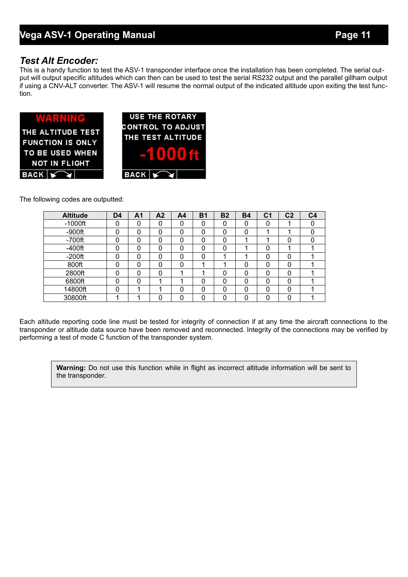#### *Test Alt Encoder:*

This is a handy function to test the ASV-1 transponder interface once the installation has been completed. The serial output will output specific altitudes which can then can be used to test the serial RS232 output and the parallel gillham output if using a CNV-ALT converter. The ASV-1 will resume the normal output of the indicated altitude upon exiting the test function.



The following codes are outputted:

| <b>Altitude</b> | D <sub>4</sub> | A1 | A <sub>2</sub> | A <sub>4</sub> | <b>B1</b> | <b>B2</b> | <b>B4</b> | C <sub>1</sub> | C <sub>2</sub> | C <sub>4</sub> |
|-----------------|----------------|----|----------------|----------------|-----------|-----------|-----------|----------------|----------------|----------------|
| $-1000$ ft      |                |    |                | 0              | 0         |           | 0         |                |                |                |
| $-900$ ft       |                |    | ი              | 0              | 0         | 0         | 0         |                |                |                |
| $-700$ ft       |                | 0  |                | 0              | 0         | 0         |           |                |                |                |
| $-400$ ft       |                |    |                | 0              | 0         |           |           |                |                |                |
| $-200ft$        |                | 0  | ი              | 0              | 0         |           |           | O              |                |                |
| 800ft           |                | 0  | 0              | 0              |           |           | 0         | 0              | 0              |                |
| 2800ft          |                | ი  | ი              |                |           | 0         | 0         | ŋ              |                |                |
| 6800ft          |                | 0  |                |                | 0         | 0         | 0         | ∩              |                |                |
| 14800ft         |                |    |                | 0              | 0         | 0         | 0         | 0              | 0              |                |
| 30800ft         |                |    |                | ი              | ი         | ∩         | ∩         |                |                |                |

Each altitude reporting code line must be tested for integrity of connection if at any time the aircraft connections to the transponder or altitude data source have been removed and reconnected. Integrity of the connections may be verified by performing a test of mode C function of the transponder system.

**Warning:** Do not use this function while in flight as incorrect altitude information will be sent to the transponder.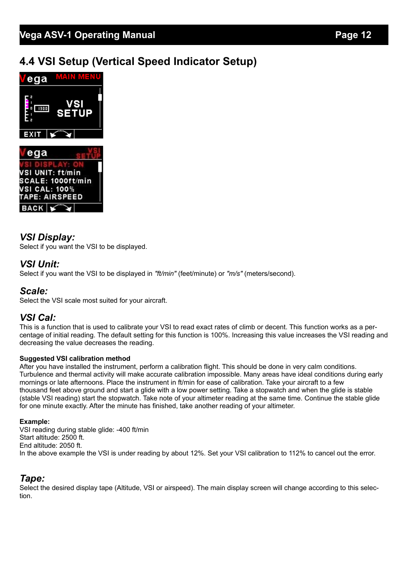# **4.4 VSI Setup (Vertical Speed Indicator Setup)**



## *VSI Display:*

Select if you want the VSI to be displayed.

#### *VSI Unit:*

Select if you want the VSI to be displayed in *"ft/min"* (feet/minute) or *"m/s"* (meters/second).

#### *Scale:*

Select the VSI scale most suited for your aircraft.

#### *VSI Cal:*

This is a function that is used to calibrate your VSI to read exact rates of climb or decent. This function works as a percentage of initial reading. The default setting for this function is 100%. Increasing this value increases the VSI reading and decreasing the value decreases the reading.

#### **Suggested VSI calibration method**

After you have installed the instrument, perform a calibration flight. This should be done in very calm conditions. Turbulence and thermal activity will make accurate calibration impossible. Many areas have ideal conditions during early mornings or late afternoons. Place the instrument in ft/min for ease of calibration. Take your aircraft to a few thousand feet above ground and start a glide with a low power setting. Take a stopwatch and when the glide is stable (stable VSI reading) start the stopwatch. Take note of your altimeter reading at the same time. Continue the stable glide for one minute exactly. After the minute has finished, take another reading of your altimeter.

#### **Example:**

VSI reading during stable glide: -400 ft/min Start altitude: 2500 ft. End altitude: 2050 ft. In the above example the VSI is under reading by about 12%. Set your VSI calibration to 112% to cancel out the error.

#### *Tape:*

Select the desired display tape (Altitude, VSI or airspeed). The main display screen will change according to this selection.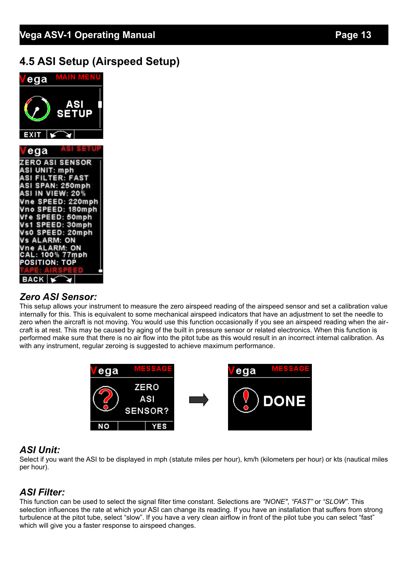# **4.5 ASI Setup (Airspeed Setup)**



## *Zero ASI Sensor:*

This setup allows your instrument to measure the zero airspeed reading of the airspeed sensor and set a calibration value internally for this. This is equivalent to some mechanical airspeed indicators that have an adjustment to set the needle to zero when the aircraft is not moving. You would use this function occasionally if you see an airspeed reading when the aircraft is at rest. This may be caused by aging of the built in pressure sensor or related electronics. When this function is performed make sure that there is no air flow into the pitot tube as this would result in an incorrect internal calibration. As with any instrument, regular zeroing is suggested to achieve maximum performance.



## *ASI Unit:*

Select if you want the ASI to be displayed in mph (statute miles per hour), km/h (kilometers per hour) or kts (nautical miles per hour).

# *ASI Filter:*

This function can be used to select the signal filter time constant. Selections are *"NONE"*, *"FAST"* or *"SLOW"*. This selection influences the rate at which your ASI can change its reading. If you have an installation that suffers from strong turbulence at the pitot tube, select "slow". If you have a very clean airflow in front of the pilot tube you can select "fast" which will give you a faster response to airspeed changes.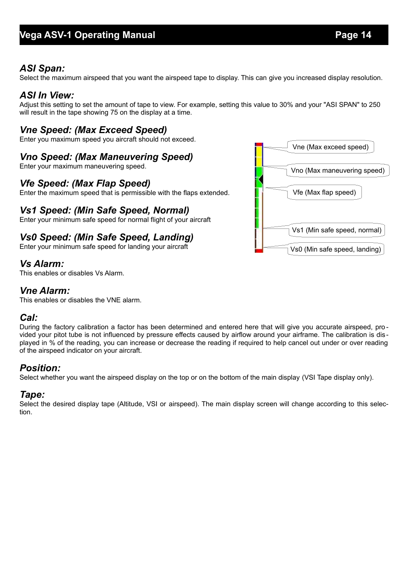## *ASI Span:*

Select the maximum airspeed that you want the airspeed tape to display. This can give you increased display resolution.

#### *ASI In View:*

Adjust this setting to set the amount of tape to view. For example, setting this value to 30% and your "ASI SPAN" to 250 will result in the tape showing 75 on the display at a time.

## *Vne Speed: (Max Exceed Speed)*

Enter you maximum speed you aircraft should not exceed.

## *Vno Speed: (Max Maneuvering Speed)*

Enter your maximum maneuvering speed.

#### *Vfe Speed: (Max Flap Speed)*

Enter the maximum speed that is permissible with the flaps extended.

## *Vs1 Speed: (Min Safe Speed, Normal)*

Enter your minimum safe speed for normal flight of your aircraft

## *Vs0 Speed: (Min Safe Speed, Landing)*

Enter your minimum safe speed for landing your aircraft

#### *Vs Alarm:*

This enables or disables Vs Alarm.

#### *Vne Alarm:*

This enables or disables the VNE alarm.

#### *Cal:*

During the factory calibration a factor has been determined and entered here that will give you accurate airspeed, provided your pitot tube is not influenced by pressure effects caused by airflow around your airframe. The calibration is dis played in % of the reading, you can increase or decrease the reading if required to help cancel out under or over reading of the airspeed indicator on your aircraft.

## *Position:*

Select whether you want the airspeed display on the top or on the bottom of the main display (VSI Tape display only).

#### *Tape:*

Select the desired display tape (Altitude, VSI or airspeed). The main display screen will change according to this selection.

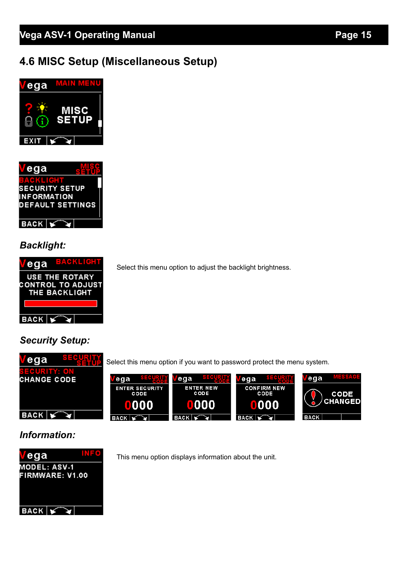# **4.6 MISC Setup (Miscellaneous Setup)**





## *Backlight:*



Select this menu option to adjust the backlight brightness.

## *Security Setup:*



Select this menu option if you want to password protect the menu system.



## *Information:*



This menu option displays information about the unit.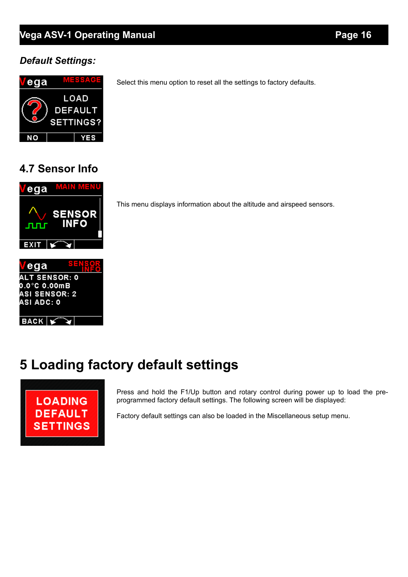# **Vega ASV-1 Operating Manual** *Page 16*

## *Default Settings:*



Select this menu option to reset all the settings to factory defaults.

# **4.7 Sensor Info**



This menu displays information about the altitude and airspeed sensors.

# **5 Loading factory default settings**



Press and hold the F1/Up button and rotary control during power up to load the preprogrammed factory default settings. The following screen will be displayed:

Factory default settings can also be loaded in the Miscellaneous setup menu.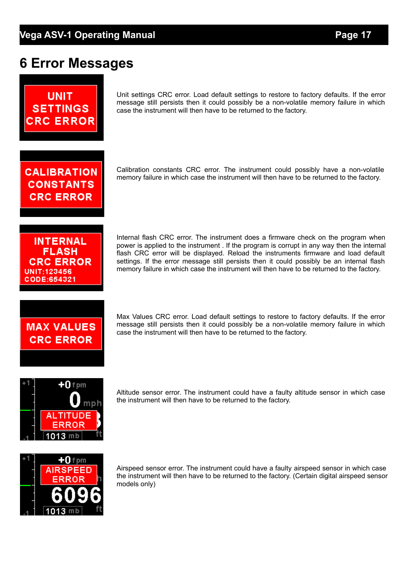# **6 Error Messages**



Unit settings CRC error. Load default settings to restore to factory defaults. If the error message still persists then it could possibly be a non-volatile memory failure in which case the instrument will then have to be returned to the factory.

**CALIBRATION CONSTANTS CRC ERROR** 

Calibration constants CRC error. The instrument could possibly have a non-volatile memory failure in which case the instrument will then have to be returned to the factory.

**INTERNAL FLASH CRC ERROR** UNIT:123456 CODE:654321

Internal flash CRC error. The instrument does a firmware check on the program when power is applied to the instrument . If the program is corrupt in any way then the internal flash CRC error will be displayed. Reload the instruments firmware and load default settings. If the error message still persists then it could possibly be an internal flash memory failure in which case the instrument will then have to be returned to the factory.



Max Values CRC error. Load default settings to restore to factory defaults. If the error message still persists then it could possibly be a non-volatile memory failure in which case the instrument will then have to be returned to the factory.



Altitude sensor error. The instrument could have a faulty altitude sensor in which case the instrument will then have to be returned to the factory.



Airspeed sensor error. The instrument could have a faulty airspeed sensor in which case the instrument will then have to be returned to the factory. (Certain digital airspeed sensor models only)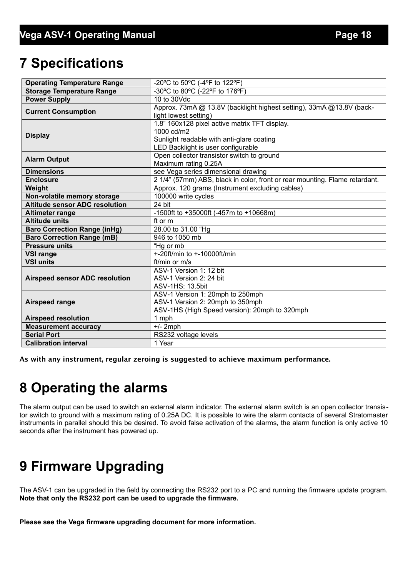# **7 Specifications**

| <b>Operating Temperature Range</b>    | -20°C to 50°C (-4°F to 122°F)                                                                                                                  |  |  |
|---------------------------------------|------------------------------------------------------------------------------------------------------------------------------------------------|--|--|
| <b>Storage Temperature Range</b>      | -30°C to 80°C (-22°F to 176°F)                                                                                                                 |  |  |
| <b>Power Supply</b>                   | 10 to 30Vdc                                                                                                                                    |  |  |
| <b>Current Consumption</b>            | Approx. 73mA @ 13.8V (backlight highest setting), 33mA @13.8V (back-<br>light lowest setting)                                                  |  |  |
| <b>Display</b>                        | 1.8" 160x128 pixel active matrix TFT display.<br>1000 cd/m2<br>Sunlight readable with anti-glare coating<br>LED Backlight is user configurable |  |  |
| <b>Alarm Output</b>                   | Open collector transistor switch to ground<br>Maximum rating 0.25A                                                                             |  |  |
| <b>Dimensions</b>                     | see Vega series dimensional drawing                                                                                                            |  |  |
| <b>Enclosure</b>                      | 2 1/4" (57mm) ABS, black in color, front or rear mounting. Flame retardant.                                                                    |  |  |
| Weight                                | Approx. 120 grams (Instrument excluding cables)                                                                                                |  |  |
| Non-volatile memory storage           | 100000 write cycles                                                                                                                            |  |  |
| <b>Altitude sensor ADC resolution</b> | 24 bit                                                                                                                                         |  |  |
| <b>Altimeter range</b>                | -1500ft to +35000ft (-457m to +10668m)                                                                                                         |  |  |
| <b>Altitude units</b>                 | ft or m                                                                                                                                        |  |  |
| <b>Baro Correction Range (inHg)</b>   | 28.00 to 31.00 "Hg                                                                                                                             |  |  |
| <b>Baro Correction Range (mB)</b>     | 946 to 1050 mb                                                                                                                                 |  |  |
| <b>Pressure units</b>                 | $Hg$ or mb                                                                                                                                     |  |  |
| <b>VSI range</b>                      | +-20ft/min to +-10000ft/min                                                                                                                    |  |  |
| <b>VSI units</b>                      | ft/min or $m/s$                                                                                                                                |  |  |
| <b>Airspeed sensor ADC resolution</b> | ASV-1 Version 1: 12 bit<br>ASV-1 Version 2: 24 bit<br>ASV-1HS: 13.5bit                                                                         |  |  |
| <b>Airspeed range</b>                 | ASV-1 Version 1: 20mph to 250mph<br>ASV-1 Version 2: 20mph to 350mph<br>ASV-1HS (High Speed version): 20mph to 320mph                          |  |  |
| <b>Airspeed resolution</b>            | 1 mph                                                                                                                                          |  |  |
| <b>Measurement accuracy</b>           | $+/- 2$ mph                                                                                                                                    |  |  |
| <b>Serial Port</b>                    | RS232 voltage levels                                                                                                                           |  |  |
| <b>Calibration interval</b>           | 1 Year                                                                                                                                         |  |  |

As with any instrument, regular zeroing is suggested to achieve maximum performance.

# **8 Operating the alarms**

The alarm output can be used to switch an external alarm indicator. The external alarm switch is an open collector transistor switch to ground with a maximum rating of 0.25A DC. It is possible to wire the alarm contacts of several Stratomaster instruments in parallel should this be desired. To avoid false activation of the alarms, the alarm function is only active 10 seconds after the instrument has powered up.

# **9 Firmware Upgrading**

The ASV-1 can be upgraded in the field by connecting the RS232 port to a PC and running the firmware update program. **Note that only the RS232 port can be used to upgrade the firmware.**

**Please see the Vega firmware upgrading document for more information.**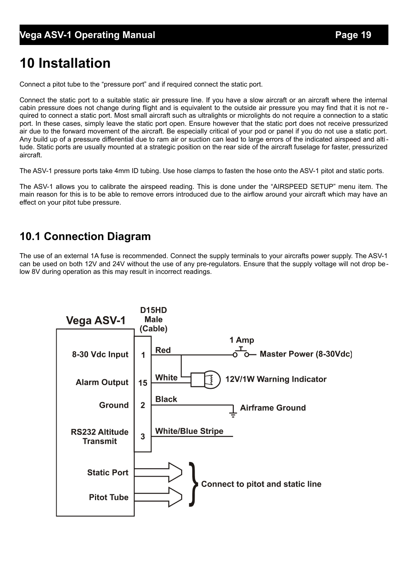# **10 Installation**

Connect a pitot tube to the "pressure port" and if required connect the static port.

Connect the static port to a suitable static air pressure line. If you have a slow aircraft or an aircraft where the internal cabin pressure does not change during flight and is equivalent to the outside air pressure you may find that it is not required to connect a static port. Most small aircraft such as ultralights or microlights do not require a connection to a static port. In these cases, simply leave the static port open. Ensure however that the static port does not receive pressurized air due to the forward movement of the aircraft. Be especially critical of your pod or panel if you do not use a static port. Any build up of a pressure differential due to ram air or suction can lead to large errors of the indicated airspeed and altitude. Static ports are usually mounted at a strategic position on the rear side of the aircraft fuselage for faster, pressurized aircraft.

The ASV-1 pressure ports take 4mm ID tubing. Use hose clamps to fasten the hose onto the ASV-1 pitot and static ports.

The ASV-1 allows you to calibrate the airspeed reading. This is done under the "AIRSPEED SETUP" menu item. The main reason for this is to be able to remove errors introduced due to the airflow around your aircraft which may have an effect on your pitot tube pressure.

# **10.1 Connection Diagram**

The use of an external 1A fuse is recommended. Connect the supply terminals to your aircrafts power supply. The ASV-1 can be used on both 12V and 24V without the use of any pre-regulators. Ensure that the supply voltage will not drop below 8V during operation as this may result in incorrect readings.

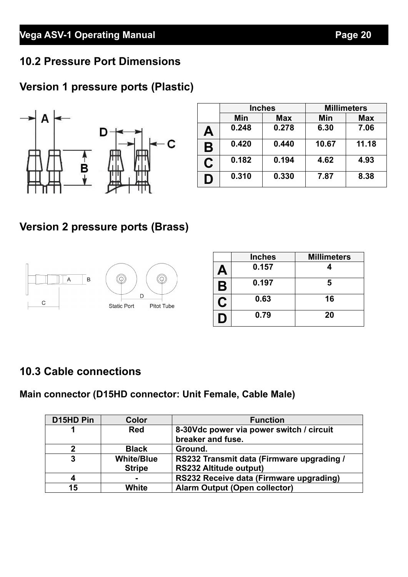# **10.2 Pressure Port Dimensions**

# **Version 1 pressure ports (Plastic)**



|    | <b>Inches</b> |            | <b>Millimeters</b> |            |  |
|----|---------------|------------|--------------------|------------|--|
|    | Min           | <b>Max</b> | Min                | <b>Max</b> |  |
| Α  | 0.248         | 0.278      | 6.30               | 7.06       |  |
| B  | 0.420         | 0.440      | 10.67              | 11.18      |  |
| C. | 0.182         | 0.194      | 4.62               | 4.93       |  |
| D  | 0.310         | 0.330      | 7.87               | 8.38       |  |

# **Version 2 pressure ports (Brass)**



|    | <b>Inches</b> | <b>Millimeters</b> |
|----|---------------|--------------------|
| Д  | 0.157         |                    |
| Β  | 0.197         | 5                  |
| نا | 0.63          | 16                 |
| Ð  | 0.79          | 20                 |

# **10.3 Cable connections**

# **Main connector (D15HD connector: Unit Female, Cable Male)**

| D15HD Pin | <b>Color</b>      | <b>Function</b>                                               |
|-----------|-------------------|---------------------------------------------------------------|
|           | <b>Red</b>        | 8-30Vdc power via power switch / circuit<br>breaker and fuse. |
|           |                   |                                                               |
| 2         | <b>Black</b>      | Ground.                                                       |
| 3         | <b>White/Blue</b> | RS232 Transmit data (Firmware upgrading /                     |
|           | <b>Stripe</b>     | <b>RS232 Altitude output)</b>                                 |
| 4         | -                 | RS232 Receive data (Firmware upgrading)                       |
| 15        | White             | <b>Alarm Output (Open collector)</b>                          |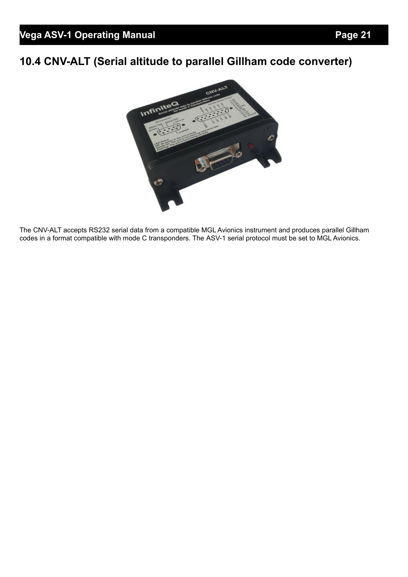# **10.4 CNV-ALT (Serial altitude to parallel Gillham code converter)**



The CNV-ALT accepts RS232 serial data from a compatible MGL Avionics instrument and produces parallel Gillham codes in a format compatible with mode C transponders. The ASV-1 serial protocol must be set to MGL Avionics.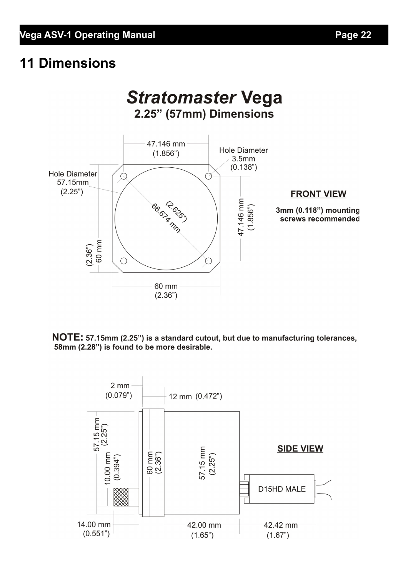# **11 Dimensions**



NOTE: 57.15mm (2.25") is a standard cutout, but due to manufacturing tolerances, 58mm (2.28") is found to be more desirable.

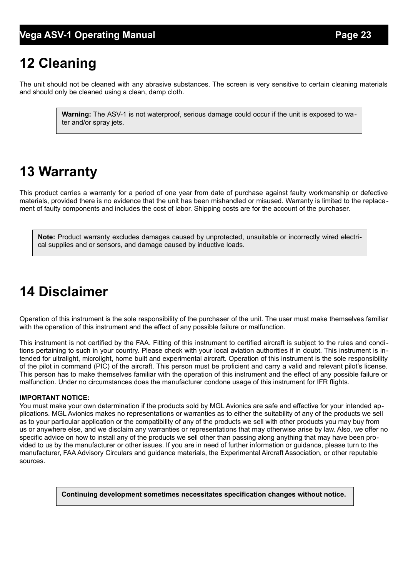# **12 Cleaning**

The unit should not be cleaned with any abrasive substances. The screen is very sensitive to certain cleaning materials and should only be cleaned using a clean, damp cloth.

> **Warning:** The ASV-1 is not waterproof, serious damage could occur if the unit is exposed to water and/or spray jets.

# **13 Warranty**

This product carries a warranty for a period of one year from date of purchase against faulty workmanship or defective materials, provided there is no evidence that the unit has been mishandled or misused. Warranty is limited to the replacement of faulty components and includes the cost of labor. Shipping costs are for the account of the purchaser.

**Note:** Product warranty excludes damages caused by unprotected, unsuitable or incorrectly wired electrical supplies and or sensors, and damage caused by inductive loads.

# **14 Disclaimer**

Operation of this instrument is the sole responsibility of the purchaser of the unit. The user must make themselves familiar with the operation of this instrument and the effect of any possible failure or malfunction.

This instrument is not certified by the FAA. Fitting of this instrument to certified aircraft is subject to the rules and conditions pertaining to such in your country. Please check with your local aviation authorities if in doubt. This instrument is intended for ultralight, microlight, home built and experimental aircraft. Operation of this instrument is the sole responsibility of the pilot in command (PIC) of the aircraft. This person must be proficient and carry a valid and relevant pilot's license. This person has to make themselves familiar with the operation of this instrument and the effect of any possible failure or malfunction. Under no circumstances does the manufacturer condone usage of this instrument for IFR flights.

#### **IMPORTANT NOTICE:**

You must make your own determination if the products sold by MGL Avionics are safe and effective for your intended applications. MGL Avionics makes no representations or warranties as to either the suitability of any of the products we sell as to your particular application or the compatibility of any of the products we sell with other products you may buy from us or anywhere else, and we disclaim any warranties or representations that may otherwise arise by law. Also, we offer no specific advice on how to install any of the products we sell other than passing along anything that may have been provided to us by the manufacturer or other issues. If you are in need of further information or guidance, please turn to the manufacturer, FAA Advisory Circulars and guidance materials, the Experimental Aircraft Association, or other reputable sources.

**Continuing development sometimes necessitates specification changes without notice.**